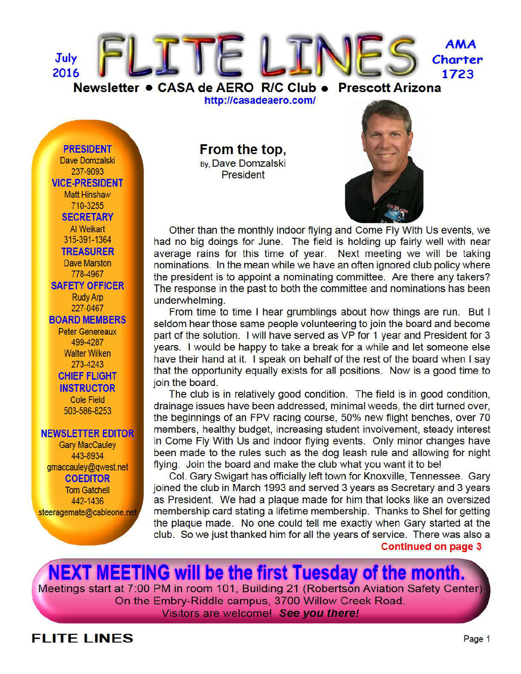

http://casadeaero.com/

**PRESIDENT** Dave Domzalski 237-9093 **VICE-PRESIDENT Matt Hinshaw** 710-3255 **SECRETARY** Al Weikart 315-391-1364 **TREASURER Dave Marston** 778-4967 **SAFETY OFFICER Rudy Arp** 227-0467 **BOARD MEMBERS Peter Genereaux** 499-4287 **Walter Wilken** 273-4243 **CHIEF FLIGHT INSTRUCTOR Cole Field** 503-586-8253

#### **NEWSLETTER EDITOR**

**Gary MacCauley** 443-8934 gmaccauley@gwest.net **COEDITOR Tom Gatchell** 442-1436 steeragemate@cableone.net From the top, By, Dave Domzalski **President** 



Other than the monthly indoor flying and Come Fly With Us events, we had no big doings for June. The field is holding up fairly well with near average rains for this time of year. Next meeting we will be taking nominations. In the mean while we have an often ignored club policy where the president is to appoint a nominating committee. Are there any takers? The response in the past to both the committee and nominations has been underwhelming.

From time to time I hear grumblings about how things are run. But I seldom hear those same people volunteering to join the board and become part of the solution. I will have served as VP for 1 year and President for 3 years. I would be happy to take a break for a while and let someone else have their hand at it. I speak on behalf of the rest of the board when I say that the opportunity equally exists for all positions. Now is a good time to join the board.

The club is in relatively good condition. The field is in good condition, drainage issues have been addressed, minimal weeds, the dirt turned over, the beginnings of an FPV racing course, 50% new flight benches, over 70 members, healthy budget, increasing student involvement, steady interest in Come Fly With Us and indoor flying events. Only minor changes have been made to the rules such as the dog leash rule and allowing for night flying. Join the board and make the club what you want it to be!

Col. Gary Swigart has officially left town for Knoxville, Tennessee. Gary joined the club in March 1993 and served 3 years as Secretary and 3 years as President. We had a plaque made for him that looks like an oversized membership card stating a lifetime membership. Thanks to Shel for getting the plaque made. No one could tell me exactly when Gary started at the club. So we just thanked him for all the years of service. There was also a

**Continued on page 3** 

**NEXT MEETING will be the first Tuesday of the month.** Meetings start at 7:00 PM in room 101, Building 21 (Robertson Aviation Safety Center) On the Embry-Riddle campus, 3700 Willow Creek Road. Visitors are welcome! See you there!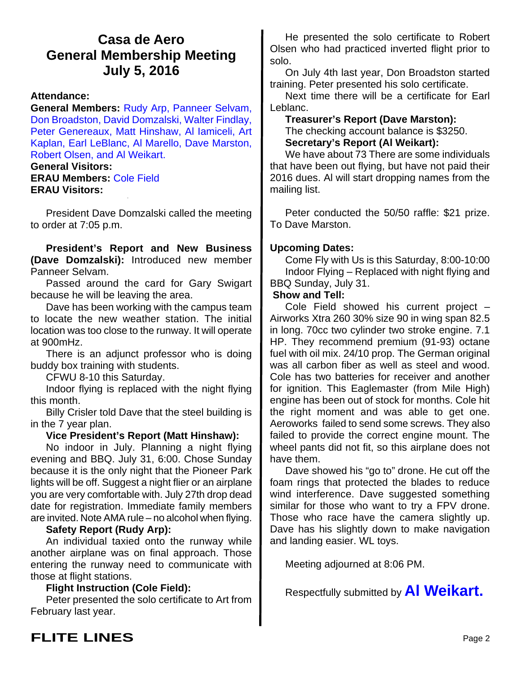## **Casa de Aero General Membership Meeting July 5, 2016**

#### **Attendance:**

**General Members:** Rudy Arp, Panneer Selvam, Don Broadston, David Domzalski, Walter Findlay, Peter Genereaux, Matt Hinshaw, Al Iamiceli, Art Kaplan, Earl LeBlanc, Al Marello, Dave Marston, Robert Olsen, and Al Weikart.

#### **General Visitors:**

**ERAU Members:** Cole Field **ERAU Visitors:**

President Dave Domzalski called the meeting to order at 7:05 p.m.

**President's Report and New Business (Dave Domzalski):** Introduced new member Panneer Selvam.

Passed around the card for Gary Swigart because he will be leaving the area.

Dave has been working with the campus team to locate the new weather station. The initial location was too close to the runway. It will operate at 900mHz.

There is an adjunct professor who is doing buddy box training with students.

CFWU 8-10 this Saturday.

Indoor flying is replaced with the night flying this month.

Billy Crisler told Dave that the steel building is in the 7 year plan.

#### **Vice President's Report (Matt Hinshaw):**

No indoor in July. Planning a night flying evening and BBQ. July 31, 6:00. Chose Sunday because it is the only night that the Pioneer Park lights will be off. Suggest a night flier or an airplane you are very comfortable with. July 27th drop dead date for registration. Immediate family members are invited. Note AMA rule – no alcohol when flying.

#### **Safety Report (Rudy Arp):**

An individual taxied onto the runway while another airplane was on final approach. Those entering the runway need to communicate with those at flight stations.

#### **Flight Instruction (Cole Field):**

Peter presented the solo certificate to Art from February last year.

He presented the solo certificate to Robert Olsen who had practiced inverted flight prior to solo.

On July 4th last year, Don Broadston started training. Peter presented his solo certificate.

Next time there will be a certificate for Earl Leblanc.

### **Treasurer's Report (Dave Marston):**

The checking account balance is \$3250. **Secretary's Report (Al Weikart):**

We have about 73 There are some individuals that have been out flying, but have not paid their 2016 dues. Al will start dropping names from the mailing list.

Peter conducted the 50/50 raffle: \$21 prize. To Dave Marston.

### **Upcoming Dates:**

Come Fly with Us is this Saturday, 8:00-10:00 Indoor Flying – Replaced with night flying and BBQ Sunday, July 31.

#### **Show and Tell:**

Cole Field showed his current project – Airworks Xtra 260 30% size 90 in wing span 82.5 in long. 70cc two cylinder two stroke engine. 7.1 HP. They recommend premium (91-93) octane fuel with oil mix. 24/10 prop. The German original was all carbon fiber as well as steel and wood. Cole has two batteries for receiver and another for ignition. This Eaglemaster (from Mile High) engine has been out of stock for months. Cole hit the right moment and was able to get one. Aeroworks failed to send some screws. They also failed to provide the correct engine mount. The wheel pants did not fit, so this airplane does not have them.

Dave showed his "go to" drone. He cut off the foam rings that protected the blades to reduce wind interference. Dave suggested something similar for those who want to try a FPV drone. Those who race have the camera slightly up. Dave has his slightly down to make navigation and landing easier. WL toys.

Meeting adjourned at 8:06 PM.

Respectfully submitted by **Al Weikart.**

# **FLITE LINES** Page 2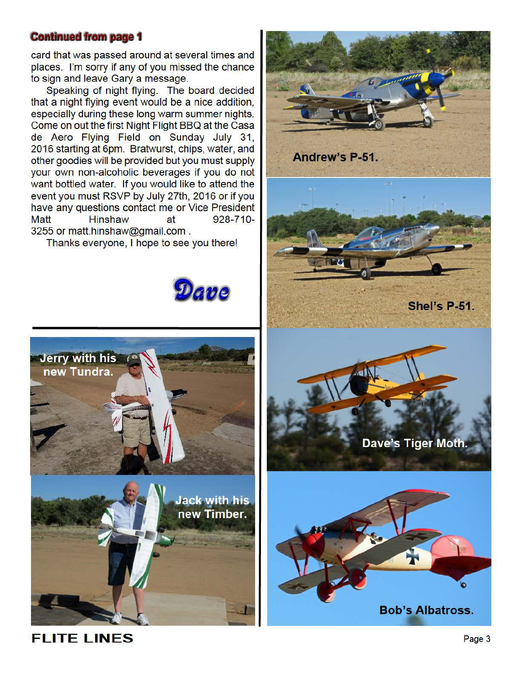### **Continued from page 1**

card that was passed around at several times and places. I'm sorry if any of you missed the chance to sign and leave Gary a message.

Speaking of night flying. The board decided that a night flying event would be a nice addition, especially during these long warm summer nights. Come on out the first Night Flight BBQ at the Casa de Aero Flying Field on Sunday July 31, 2016 starting at 6pm. Bratwurst, chips, water, and other goodies will be provided but you must supply your own non-alcoholic beverages if you do not want bottled water. If you would like to attend the event you must RSVP by July 27th, 2016 or if you have any questions contact me or Vice President **Matt Hinshaw** 928-710at 3255 or matt.hinshaw@gmail.com.

Thanks everyone, I hope to see you there!





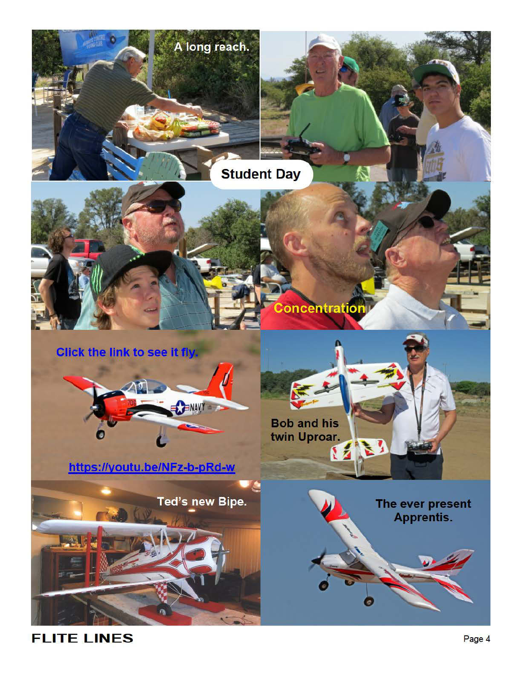